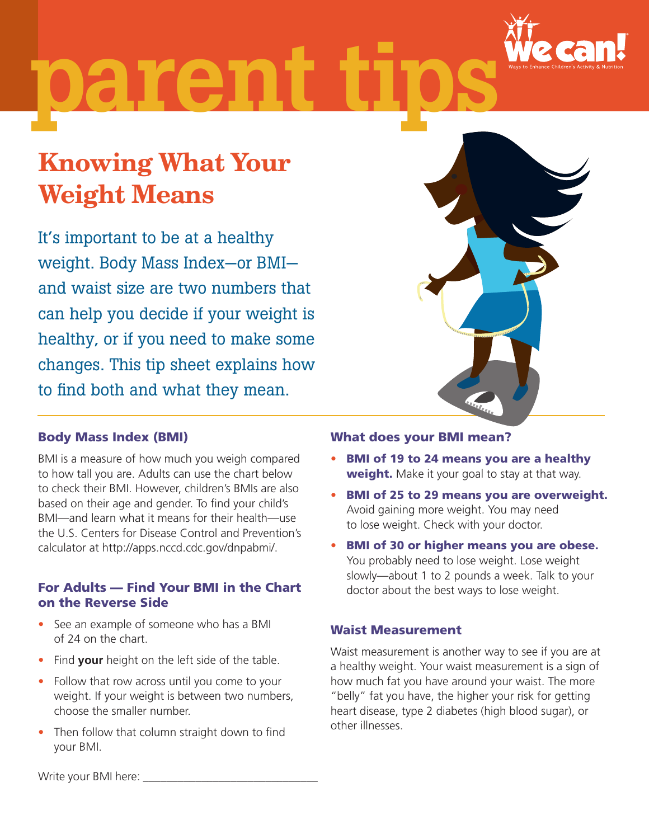

# parent

## Knowing What Your Weight Means

It's important to be at a healthy weight. Body Mass Index—or BMI and waist size are two numbers that can help you decide if your weight is healthy, or if you need to make some changes. This tip sheet explains how to find both and what they mean.



#### Body Mass Index (BMI)

BMI is a measure of how much you weigh compared to how tall you are. Adults can use the chart below to check their BMI. However, children's BMIs are also based on their age and gender. To find your child's BMI—and learn what it means for their health—use the U.S. Centers for Disease Control and Prevention's calculator at http://apps.nccd.cdc.gov/dnpabmi/.

#### For Adults — Find Your BMI in the Chart on the Reverse Side

- See an example of someone who has a BMI of 24 on the chart.
- Find **your** height on the left side of the table.
- Follow that row across until you come to your weight. If your weight is between two numbers, choose the smaller number.
- Then follow that column straight down to find your BMI.

#### What does your BMI mean?

- BMI of 19 to 24 means you are a healthy weight. Make it your goal to stay at that way.
- • BMI of 25 to 29 means you are overweight. Avoid gaining more weight. You may need to lose weight. Check with your doctor.
- BMI of 30 or higher means you are obese. You probably need to lose weight. Lose weight slowly—about 1 to 2 pounds a week. Talk to your doctor about the best ways to lose weight.

#### Waist Measurement

Waist measurement is another way to see if you are at a healthy weight. Your waist measurement is a sign of how much fat you have around your waist. The more "belly" fat you have, the higher your risk for getting heart disease, type 2 diabetes (high blood sugar), or other illnesses.

Write your BMI here: \_\_\_\_\_\_\_\_\_\_\_\_\_\_\_\_\_\_\_\_\_\_\_\_\_\_\_\_\_\_